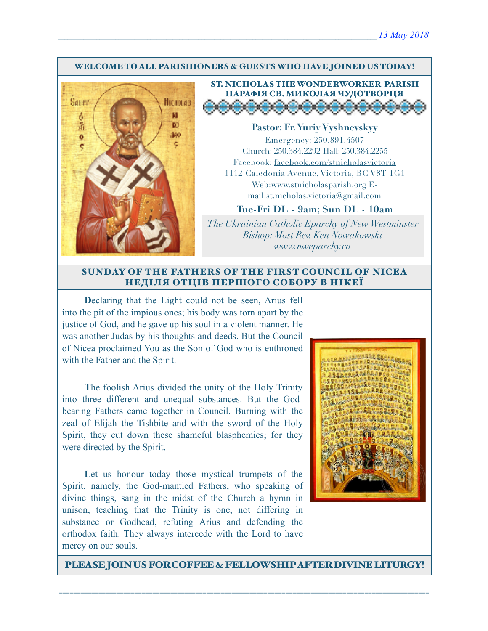#### WELCOME TO ALL PARISHIONERS & GUESTS WHO HAVE JOINED US TODAY!



ST. NICHOLAS THE WONDERWORKER PARISH ПАРАФІЯ СВ. МИКОЛАЯ ЧУДОТВОРЦЯ <u> 10 10 10 10 10 10 10 10 10 1</u>

**Pastor: Fr. Yuriy Vyshnevskyy** Emergency: 250.891.4507 Church: 250.384.2292 Hall: 250.384.2255 Facebook: facebook.com/stnicholasvictoria 1112 Caledonia Avenue, Victoria, BC V8T 1G1 Web[:www.stnicholasparish.org](http://www.stnicholasparish.org) Email:[st.nicholas.victoria@gmail.com](mailto:st.nicholas.victoria@gmail.com)

**Tue-Fri DL - 9am; Sun DL - 10am**

*The Ukrainian Catholic Eparchy of New Westminster Bishop: Most Rev. Ken Nowakowski [www.nweparchy.ca](http://www.nweparchy.ca)*

#### SUNDAY OF THE FATHERS OF THE FIRST COUNCIL OF NICEA НЕДІЛЯ ОТЦІВ ПЕРШОГО СОБОРУ В НІКЕЇ

**D**eclaring that the Light could not be seen, Arius fell into the pit of the impious ones; his body was torn apart by the justice of God, and he gave up his soul in a violent manner. He was another Judas by his thoughts and deeds. But the Council of Nicea proclaimed You as the Son of God who is enthroned with the Father and the Spirit.

**T**he foolish Arius divided the unity of the Holy Trinity into three different and unequal substances. But the Godbearing Fathers came together in Council. Burning with the zeal of Elijah the Tishbite and with the sword of the Holy Spirit, they cut down these shameful blasphemies; for they were directed by the Spirit.

Let us honour today those mystical trumpets of the Spirit, namely, the God-mantled Fathers, who speaking of divine things, sang in the midst of the Church a hymn in unison, teaching that the Trinity is one, not differing in substance or Godhead, refuting Arius and defending the orthodox faith. They always intercede with the Lord to have mercy on our souls.



PLEASE JOIN US FOR COFFEE & FELLOWSHIP AFTER DIVINE LITURGY!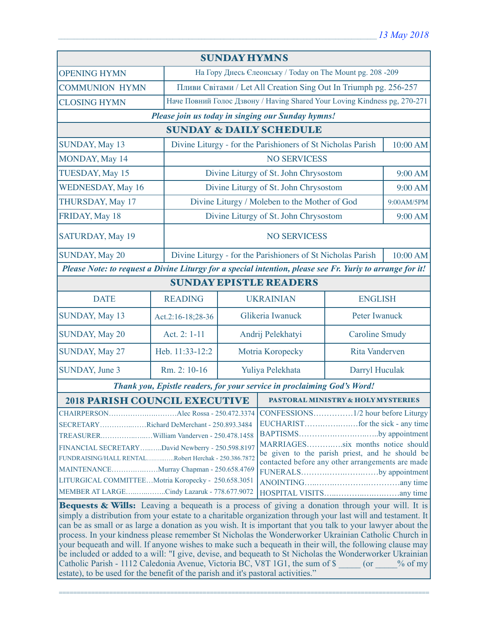| <b>SUNDAY HYMNS</b>                                                                                                                                                                                                                                                                                      |                   |                                                                           |                                                                                                                                                                                                                                    |                |                |  |
|----------------------------------------------------------------------------------------------------------------------------------------------------------------------------------------------------------------------------------------------------------------------------------------------------------|-------------------|---------------------------------------------------------------------------|------------------------------------------------------------------------------------------------------------------------------------------------------------------------------------------------------------------------------------|----------------|----------------|--|
| <b>OPENING HYMN</b>                                                                                                                                                                                                                                                                                      |                   |                                                                           | На Гору Днесь Єлеонську / Today on The Mount pg. 208 -209                                                                                                                                                                          |                |                |  |
| <b>COMMUNION HYMN</b>                                                                                                                                                                                                                                                                                    |                   |                                                                           | Пливи Світами / Let All Creation Sing Out In Triumph pg. 256-257                                                                                                                                                                   |                |                |  |
| <b>CLOSING HYMN</b>                                                                                                                                                                                                                                                                                      |                   | Наче Повний Голос Дзвону / Having Shared Your Loving Kindness pg, 270-271 |                                                                                                                                                                                                                                    |                |                |  |
| Please join us today in singing our Sunday hymns!                                                                                                                                                                                                                                                        |                   |                                                                           |                                                                                                                                                                                                                                    |                |                |  |
| <b>SUNDAY &amp; DAILY SCHEDULE</b>                                                                                                                                                                                                                                                                       |                   |                                                                           |                                                                                                                                                                                                                                    |                |                |  |
| SUNDAY, May 13                                                                                                                                                                                                                                                                                           |                   | Divine Liturgy - for the Parishioners of St Nicholas Parish               |                                                                                                                                                                                                                                    |                | 10:00 AM       |  |
| MONDAY, May 14                                                                                                                                                                                                                                                                                           |                   |                                                                           | <b>NO SERVICESS</b>                                                                                                                                                                                                                |                |                |  |
| TUESDAY, May 15                                                                                                                                                                                                                                                                                          |                   | Divine Liturgy of St. John Chrysostom                                     |                                                                                                                                                                                                                                    | 9:00 AM        |                |  |
| <b>WEDNESDAY, May 16</b>                                                                                                                                                                                                                                                                                 |                   | Divine Liturgy of St. John Chrysostom                                     |                                                                                                                                                                                                                                    | 9:00 AM        |                |  |
| THURSDAY, May 17                                                                                                                                                                                                                                                                                         |                   |                                                                           | Divine Liturgy / Moleben to the Mother of God                                                                                                                                                                                      |                | 9:00AM/5PM     |  |
| FRIDAY, May 18                                                                                                                                                                                                                                                                                           |                   |                                                                           | Divine Liturgy of St. John Chrysostom                                                                                                                                                                                              |                | 9:00 AM        |  |
| SATURDAY, May 19                                                                                                                                                                                                                                                                                         |                   | <b>NO SERVICESS</b>                                                       |                                                                                                                                                                                                                                    |                |                |  |
| SUNDAY, May 20                                                                                                                                                                                                                                                                                           |                   |                                                                           | Divine Liturgy - for the Parishioners of St Nicholas Parish                                                                                                                                                                        |                | 10:00 AM       |  |
| Please Note: to request a Divine Liturgy for a special intention, please see Fr. Yuriy to arrange for it!                                                                                                                                                                                                |                   |                                                                           |                                                                                                                                                                                                                                    |                |                |  |
| <b>SUNDAY EPISTLE READERS</b>                                                                                                                                                                                                                                                                            |                   |                                                                           |                                                                                                                                                                                                                                    |                |                |  |
| <b>DATE</b>                                                                                                                                                                                                                                                                                              | <b>READING</b>    | <b>UKRAINIAN</b>                                                          |                                                                                                                                                                                                                                    | <b>ENGLISH</b> |                |  |
| SUNDAY, May 13                                                                                                                                                                                                                                                                                           | Act.2:16-18;28-36 | Glikeria Iwanuck<br>Peter Iwanuck                                         |                                                                                                                                                                                                                                    |                |                |  |
| SUNDAY, May 20                                                                                                                                                                                                                                                                                           | Act. 2: 1-11      |                                                                           | <b>Caroline Smudy</b><br>Andrij Pelekhatyi                                                                                                                                                                                         |                |                |  |
| SUNDAY, May 27                                                                                                                                                                                                                                                                                           | Heb. 11:33-12:2   | Motria Koropecky                                                          |                                                                                                                                                                                                                                    | Rita Vanderven |                |  |
| SUNDAY, June 3                                                                                                                                                                                                                                                                                           | Rm. 2: 10-16      | Yuliya Pelekhata                                                          |                                                                                                                                                                                                                                    |                | Darryl Huculak |  |
| Thank you, Epistle readers, for your service in proclaiming God's Word!                                                                                                                                                                                                                                  |                   |                                                                           |                                                                                                                                                                                                                                    |                |                |  |
| <b>2018 PARISH COUNCIL EXECUTIVE</b>                                                                                                                                                                                                                                                                     |                   |                                                                           | <b>PASTORAL MINISTRY &amp; HOLY MYSTERIES</b>                                                                                                                                                                                      |                |                |  |
| SECRETARYRichard DeMerchant - 250.893.3484<br>FINANCIAL SECRETARYDavid Newberry - 250.598.8197<br>FUNDRAISING/HALL RENTALRobert Herchak - 250.386.7872<br>MAINTENANCEMurray Chapman - 250.658.4769<br>LITURGICAL COMMITTEEMotria Koropecky - 250.658.3051<br>MEMBER AT LARGECindy Lazaruk - 778.677.9072 |                   |                                                                           | CONFESSIONS1/2 hour before Liturgy<br>BAPTISMSby appointment<br>MARRIAGESsix months notice should<br>be given to the parish priest, and he should be<br>contacted before any other arrangements are made<br>FUNERALSby appointment |                |                |  |
| <b>Bequests &amp; Wills:</b> Leaving a bequeath is a process of giving a donation through your will. It is<br>$\frac{1}{2}$ distribution from your estate to a charitable croanization through your last will and testament. It                                                                          |                   |                                                                           |                                                                                                                                                                                                                                    |                |                |  |

simply a distribution from your estate to a charitable organization through your last will and testament. It can be as small or as large a donation as you wish. It is important that you talk to your lawyer about the process. In your kindness please remember St Nicholas the Wonderworker Ukrainian Catholic Church in your bequeath and will. If anyone wishes to make such a bequeath in their will, the following clause may be included or added to a will: "I give, devise, and bequeath to St Nicholas the Wonderworker Ukrainian Catholic Parish - 1112 Caledonia Avenue, Victoria BC, V8T 1G1, the sum of \$  $\qquad \qquad$  (or  $\qquad \qquad$  % of my estate), to be used for the benefit of the parish and it's pastoral activities."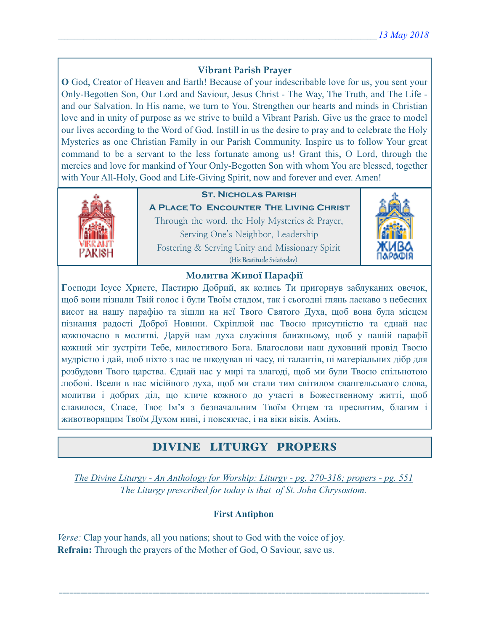## **Vibrant Parish Prayer**

**O** God, Creator of Heaven and Earth! Because of your indescribable love for us, you sent your Only-Begotten Son, Our Lord and Saviour, Jesus Christ - The Way, The Truth, and The Life and our Salvation. In His name, we turn to You. Strengthen our hearts and minds in Christian love and in unity of purpose as we strive to build a Vibrant Parish. Give us the grace to model our lives according to the Word of God. Instill in us the desire to pray and to celebrate the Holy Mysteries as one Christian Family in our Parish Community. Inspire us to follow Your great command to be a servant to the less fortunate among us! Grant this, O Lord, through the mercies and love for mankind of Your Only-Begotten Son with whom You are blessed, together with Your All-Holy, Good and Life-Giving Spirit, now and forever and ever. Amen!



## **St. Nicholas Parish**

**A Place To Encounter The Living Christ** Through the word, the Holy Mysteries & Prayer, Serving One's Neighbor, Leadership Fostering & Serving Unity and Missionary Spirit (His Beatitude Sviatoslav)



## **Молитва Живої Парафії**

**Г**осподи Ісусе Христе, Пастирю Добрий, як колись Ти пригорнув заблуканих овечок, щоб вони пізнали Твій голос і були Твоїм стадом, так і сьогодні глянь ласкаво з небесних висот на нашу парафію та зішли на неї Твого Святого Духа, щоб вона була місцем пізнання радості Доброї Новини. Скріплюй нас Твоєю присутністю та єднай нас кожночасно в молитві. Даруй нам духа служіння ближньому, щоб у нашій парафії кожний міг зустріти Тебе, милостивого Бога. Благослови наш духовний провід Твоєю мудрістю і дай, щоб ніхто з нас не шкодував ні часу, ні талантів, ні матеріальних дібр для розбудови Твого царства. Єднай нас у мирі та злагоді, щоб ми були Твоєю спільнотою любові. Всели в нас місійного духа, щоб ми стали тим світилом євангельського слова, молитви і добрих діл, що кличе кожного до участі в Божественному житті, щоб славилося, Спасе, Твоє Ім'я з безначальним Твоїм Отцем та пресвятим, благим і животворящим Твоїм Духом нині, і повсякчас, і на віки віків. Амінь.

# DIVINE LITURGY PROPERS

*The Divine Liturgy - An Anthology for Worship: Liturgy - pg. 270-318; propers - pg. 551 The Liturgy prescribed for today is that of St. John Chrysostom.* 

## **First Antiphon**

=======================================================================================================

*Verse:* Clap your hands, all you nations; shout to God with the voice of joy. **Refrain:** Through the prayers of the Mother of God, O Saviour, save us.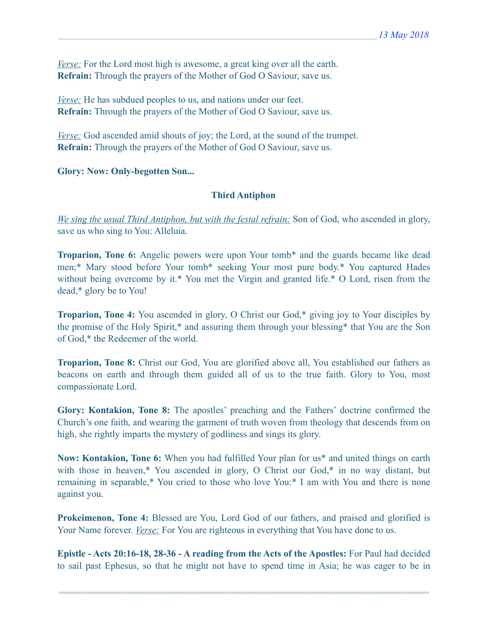*Verse:* For the Lord most high is awesome, a great king over all the earth. **Refrain:** Through the prayers of the Mother of God O Saviour, save us.

*Verse:* He has subdued peoples to us, and nations under our feet. **Refrain:** Through the prayers of the Mother of God O Saviour, save us.

*Verse:* God ascended amid shouts of joy; the Lord, at the sound of the trumpet. **Refrain:** Through the prayers of the Mother of God O Saviour, save us.

**Glory: Now: Only-begotten Son...** 

#### **Third Antiphon**

*We sing the usual Third Antiphon, but with the festal refrain:* Son of God, who ascended in glory, save us who sing to You: Alleluia.

**Troparion, Tone 6:** Angelic powers were upon Your tomb<sup>\*</sup> and the guards became like dead men;\* Mary stood before Your tomb\* seeking Your most pure body.\* You captured Hades without being overcome by it.\* You met the Virgin and granted life.\* O Lord, risen from the dead,\* glory be to You!

**Troparion, Tone 4:** You ascended in glory, O Christ our God,\* giving joy to Your disciples by the promise of the Holy Spirit,\* and assuring them through your blessing\* that You are the Son of God,\* the Redeemer of the world.

**Troparion, Tone 8:** Christ our God, You are glorified above all, You established our fathers as beacons on earth and through them guided all of us to the true faith. Glory to You, most compassionate Lord.

**Glory: Kontakion, Tone 8:** The apostles' preaching and the Fathers' doctrine confirmed the Church's one faith, and wearing the garment of truth woven from theology that descends from on high, she rightly imparts the mystery of godliness and sings its glory.

**Now: Kontakion, Tone 6:** When you had fulfilled Your plan for us\* and united things on earth with those in heaven,<sup>\*</sup> You ascended in glory, O Christ our God,<sup>\*</sup> in no way distant, but remaining in separable,\* You cried to those who love You:\* I am with You and there is none against you.

**Prokeimenon, Tone 4:** Blessed are You, Lord God of our fathers, and praised and glorified is Your Name forever. *Verse:* For You are righteous in everything that You have done to us.

**Epistle - Acts 20:16-18, 28-36 - A reading from the Acts of the Apostles:** For Paul had decided to sail past Ephesus, so that he might not have to spend time in Asia; he was eager to be in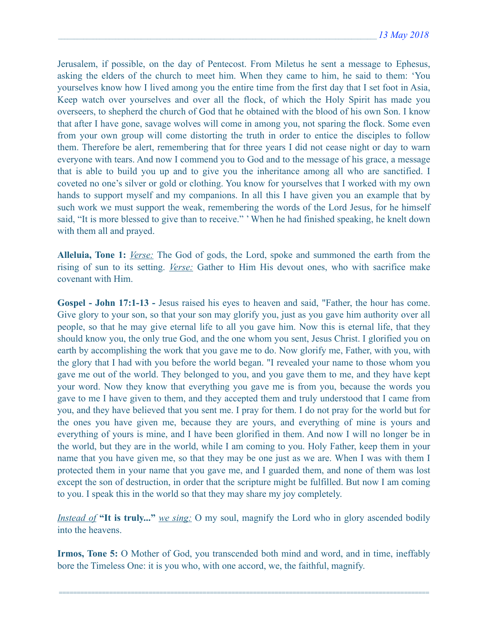Jerusalem, if possible, on the day of Pentecost. From Miletus he sent a message to Ephesus, asking the elders of the church to meet him. When they came to him, he said to them: 'You yourselves know how I lived among you the entire time from the first day that I set foot in Asia, Keep watch over yourselves and over all the flock, of which the Holy Spirit has made you overseers, to shepherd the church of God that he obtained with the blood of his own Son. I know that after I have gone, savage wolves will come in among you, not sparing the flock. Some even from your own group will come distorting the truth in order to entice the disciples to follow them. Therefore be alert, remembering that for three years I did not cease night or day to warn everyone with tears. And now I commend you to God and to the message of his grace, a message that is able to build you up and to give you the inheritance among all who are sanctified. I coveted no one's silver or gold or clothing. You know for yourselves that I worked with my own hands to support myself and my companions. In all this I have given you an example that by such work we must support the weak, remembering the words of the Lord Jesus, for he himself said, "It is more blessed to give than to receive." ' When he had finished speaking, he knelt down with them all and prayed.

**Alleluia, Tone 1:** *Verse:* The God of gods, the Lord, spoke and summoned the earth from the rising of sun to its setting. *Verse:* Gather to Him His devout ones, who with sacrifice make covenant with Him.

**Gospel - John 17:1-13 -** Jesus raised his eyes to heaven and said, "Father, the hour has come. Give glory to your son, so that your son may glorify you, just as you gave him authority over all people, so that he may give eternal life to all you gave him. Now this is eternal life, that they should know you, the only true God, and the one whom you sent, Jesus Christ. I glorified you on earth by accomplishing the work that you gave me to do. Now glorify me, Father, with you, with the glory that I had with you before the world began. "I revealed your name to those whom you gave me out of the world. They belonged to you, and you gave them to me, and they have kept your word. Now they know that everything you gave me is from you, because the words you gave to me I have given to them, and they accepted them and truly understood that I came from you, and they have believed that you sent me. I pray for them. I do not pray for the world but for the ones you have given me, because they are yours, and everything of mine is yours and everything of yours is mine, and I have been glorified in them. And now I will no longer be in the world, but they are in the world, while I am coming to you. Holy Father, keep them in your name that you have given me, so that they may be one just as we are. When I was with them I protected them in your name that you gave me, and I guarded them, and none of them was lost except the son of destruction, in order that the scripture might be fulfilled. But now I am coming to you. I speak this in the world so that they may share my joy completely.

*Instead of* **"It is truly..."** *we sing:* O my soul, magnify the Lord who in glory ascended bodily into the heavens.

**Irmos, Tone 5:** O Mother of God, you transcended both mind and word, and in time, ineffably bore the Timeless One: it is you who, with one accord, we, the faithful, magnify.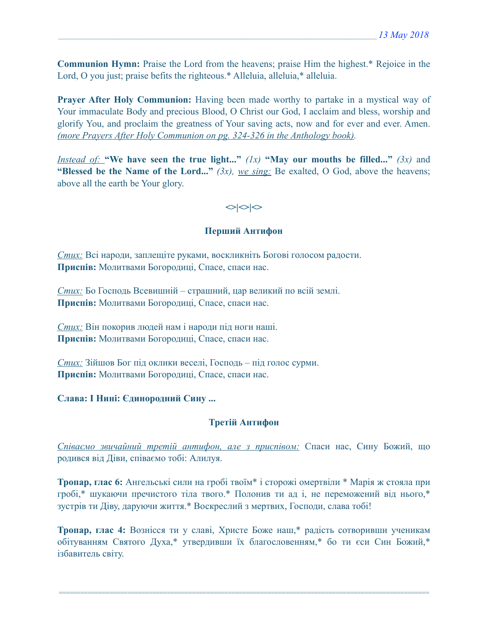**Communion Hymn:** Praise the Lord from the heavens; praise Him the highest.\* Rejoice in the Lord, O you just; praise befits the righteous.\* Alleluia, alleluia,\* alleluia.

**Prayer After Holy Communion:** Having been made worthy to partake in a mystical way of Your immaculate Body and precious Blood, O Christ our God, I acclaim and bless, worship and glorify You, and proclaim the greatness of Your saving acts, now and for ever and ever. Amen. *(more Prayers After Holy Communion on pg. 324-326 in the Anthology book).* 

*<u>Instead of:</u> "We have seen the true light..."*  $(Ix)$  *"May our mouths be filled..."*  $(3x)$  *and* **"Blessed be the Name of the Lord..."** *(3x), we sing:* Be exalted, O God, above the heavens; above all the earth be Your glory.

## $\langle$

### **Перший Антифон**

*Стих:* Всі народи, заплещіте руками, воскликніть Богові голосом радости. **Приспів:** Молитвами Богородиці, Спасе, спаси нас.

*Стих:* Бо Господь Всевишній – страшний, цар великий по всій землі. **Приспів:** Молитвами Богородиці, Спасе, спаси нас.

*Стих:* Він покорив людей нам і народи під ноги наші. **Приспів:** Молитвами Богородиці, Спасе, спаси нас.

*Стих:* Зійшов Бог під оклики веселі, Господь – під голос сурми. **Приспів:** Молитвами Богородиці, Спасе, спаси нас.

#### **Слава: І Нині: Єдинородний Сину ...**

#### **Третій Антифон**

*Співаємо звичайний третій антифон, але з приспівoм:* Спаси нас, Сину Божий, що родився від Діви, співаємо тобі: Алилуя.

**Тропар, глас 6:** Ангельські сили на гробі твоїм\* і сторожі омертвіли \* Марія ж стояла при гробі,\* шукаючи пречистого тіла твого.\* Полонив ти ад і, не переможений від нього,\* зустрів ти Діву, даруючи життя.\* Воскреслий з мертвих, Господи, слава тобі!

**Тропар, глас 4:** Вознісся ти у славі, Христе Боже наш,\* радість сотворивши ученикам обітуванням Святого Духа,\* утвердивши їх благословенням,\* бо ти єси Син Божий,\* ізбавитель світу.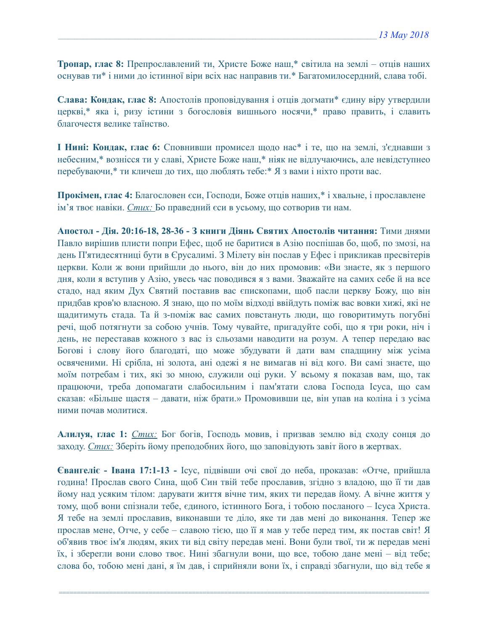**Тропар, глас 8:** Препрославлений ти, Христе Боже наш,\* світила на землі – отців наших оснував ти\* і ними до істинної віри всіх нас направив ти.\* Багатомилосердний, слава тобі.

**Слава: Кондак, глас 8:** Апостолів проповідування і отців догмати\* єдину віру утвердили церкві,\* яка і, ризу істини з богословія вишнього носячи,\* право править, і славить благочестя велике таїнство.

**І Нині: Кондак, глас 6:** Сповнивши промисел щодо нас\* і те, що на землі, з'єднавши з небесним,\* вознісся ти у славі, Христе Боже наш,\* ніяк не відлучаючись, але невідступнео перебуваючи,\* ти кличеш до тих, що люблять тебе:\* Я з вами і ніхто проти вас.

**Прокімен, глас 4:** Благословен єси, Господи, Боже отців наших,\* і хвальне, і прославлене ім'я твоє навіки. *Стих:* Бо праведний єси в усьому, що сотворив ти нам.

**Апостол - Дія. 20:16-18, 28-36 - З книги Діянь Святих Апостолів читання:** Тими днями Павло вирішив плисти попри Ефес, щоб не баритися в Азію поспішав бо, щоб, по змозі, на день П'ятидесятниці бути в Єрусалимі. З Мілету він послав у Ефес і прикликав пресвітерів церкви. Коли ж вони прийшли до нього, він до них промовив: «Ви знаєте, як з першого дня, коли я вступив у Азію, увесь час поводився я з вами. Зважайте на самих себе й на все стадо, над яким Дух Святий поставив вас єпископами, щоб пасли церкву Божу, що він придбав кров'ю власною. Я знаю, що по моїм відході ввійдуть поміж вас вовки хижі, які не щадитимуть стада. Та й з-поміж вас самих повстануть люди, що говоритимуть погубні речі, щоб потягнути за собою учнів. Тому чувайте, пригадуйте собі, що я три роки, ніч і день, не переставав кожного з вас із сльозами наводити на розум. А тепер передаю вас Богові і слову його благодаті, що може збудувати й дати вам спадщину між усіма освяченими. Ні срібла, ні золота, ані одежі я не вимагав ні від кого. Ви самі знаєте, що моїм потребам і тих, які зо мною, служили оці руки. У всьому я показав вам, що, так працюючи, треба допомагати слабосильним і пам'ятати слова Господа Ісуса, що сам сказав: «Більше щастя – давати, ніж брати.» Промовивши це, він упав на коліна і з усіма ними почав молитися.

**Алилуя, глас 1:** *Стих:* Бог богів, Господь мовив, і призвав землю від сходу сонця до заходу. *Стих:* Зберіть йому преподобних його, що заповідують завіт його в жертвах.

**Євангеліє - Івана 17:1-13 -** Ісус, підвівши очі свої до неба, проказав: «Отче, прийшла година! Прослав свого Сина, щоб Син твій тебе прославив, згідно з владою, що її ти дав йому над усяким тілом: дарувати життя вічне тим, яких ти передав йому. А вічне життя у тому, щоб вони спізнали тебе, єдиного, істинного Бога, і тобою посланого – Ісуса Христа. Я тебе на землі прославив, виконавши те діло, яке ти дав мені до виконання. Тепер же прослав мене, Отче, у себе – славою тією, що її я мав у тебе перед тим, як постав світ! Я об'явив твоє ім'я людям, яких ти від світу передав мені. Вони були твої, ти ж передав мені їх, і зберегли вони слово твоє. Нині збагнули вони, що все, тобою дане мені – від тебе; слова бо, тобою мені дані, я їм дав, і сприйняли вони їх, і справді збагнули, що від тебе я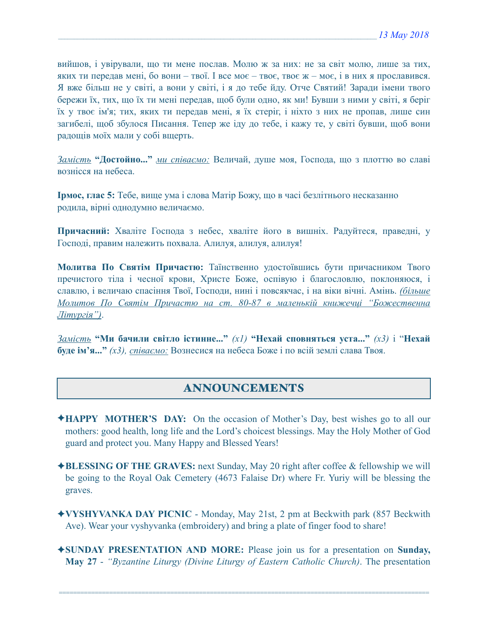вийшов, і увірували, що ти мене послав. Молю ж за них: не за світ молю, лише за тих, яких ти передав мені, бо вони – твої. І все моє – твоє, твоє ж – моє, і в них я прославився. Я вже більш не у світі, а вони у світі, і я до тебе йду. Отче Святий! Заради імени твого бережи їх, тих, що їх ти мені передав, щоб були одно, як ми! Бувши з ними у світі, я беріг їх у твоє ім'я; тих, яких ти передав мені, я їх стеріг, і ніхто з них не пропав, лише син загибелі, щоб збулося Писання. Тепер же іду до тебе, і кажу те, у світі бувши, щоб вони радощів моїх мали у собі вщерть.

*Замість* **"Достойно..."** *ми співаємо:* Величай, душе моя, Господа, що з плоттю во славі вознісся на небеса.

**Ірмос, глас 5:** Тебе, вище ума і слова Матір Божу, що в часі безлітнього несказанно родила, вірні однодумно величаємо.

**Причасний:** Хваліте Господа з небес, хваліте його в вишніх. Радуйтеся, праведні, у Господі, правим належить похвала. Алилуя, aлилуя, aлилуя!

**Молитва По Святім Причастю:** Таїнственно удостоївшись бути причасником Твого пречистого тіла і чесної крови, Христе Боже, оспівую і благословлю, поклоняюся, і славлю, і величаю спасіння Твої, Господи, нині і повсякчас, і на віки вічні. Амінь. *(більше Молитов По Святім Причастю на ст. 80-87 в маленькій книжечці "Божественна Літургія")*.

*Замість* **"Ми бачили світло істинне..."** *(x1)* **"Нехай сповняться уста..."** *(x3)* і "**Нехай буде ім'я..."** *(x3), співаємо:* Вознесися на небеса Боже і по всій землі слава Твоя.

## ANNOUNCEMENTS

- ✦**HAPPY MOTHER'S DAY:** On the occasion of Mother's Day, best wishes go to all our mothers: good health, long life and the Lord's choicest blessings. May the Holy Mother of God guard and protect you. Many Happy and Blessed Years!
- ✦**BLESSING OF THE GRAVES:** next Sunday, May 20 right after coffee & fellowship we will be going to the Royal Oak Cemetery (4673 Falaise Dr) where Fr. Yuriy will be blessing the graves.
- ✦**VYSHYVANKA DAY PICNIC** Monday, May 21st, 2 pm at Beckwith park (857 Beckwith Ave). Wear your vyshyvanka (embroidery) and bring a plate of finger food to share!
- ✦**SUNDAY PRESENTATION AND MORE:** Please join us for a presentation on **Sunday, May 27** - *"Byzantine Liturgy (Divine Liturgy of Eastern Catholic Church)*. The presentation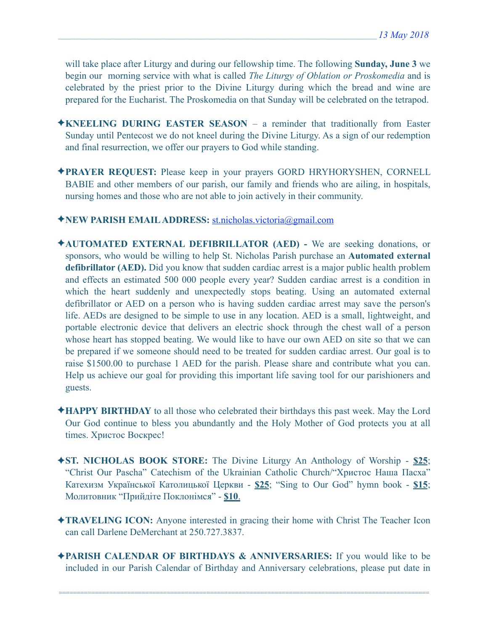will take place after Liturgy and during our fellowship time. The following **Sunday, June 3** we begin our morning service with what is called *The Liturgy of Oblation or Proskomedia* and is celebrated by the priest prior to the Divine Liturgy during which the bread and wine are prepared for the Eucharist. The Proskomedia on that Sunday will be celebrated on the tetrapod.

- ✦**KNEELING DURING EASTER SEASON**  a reminder that traditionally from Easter Sunday until Pentecost we do not kneel during the Divine Liturgy. As a sign of our redemption and final resurrection, we offer our prayers to God while standing.
- ✦**PRAYER REQUEST:** Please keep in your prayers GORD HRYHORYSHEN, CORNELL BABIE and other members of our parish, our family and friends who are ailing, in hospitals, nursing homes and those who are not able to join actively in their community.

#### ✦**NEW PARISH EMAIL ADDRESS:** [st.nicholas.victoria@gmail.com](mailto:st.nicholas.victoria@gmail.com)

- ✦**AUTOMATED EXTERNAL DEFIBRILLATOR (AED)** We are seeking donations, or sponsors, who would be willing to help St. Nicholas Parish purchase an **Automated external defibrillator (AED).** Did you know that sudden cardiac arrest is a major public health problem and effects an estimated 500 000 people every year? Sudden cardiac arrest is a condition in which the heart suddenly and unexpectedly stops beating. Using an automated external defibrillator or AED on a person who is having sudden cardiac arrest may save the person's life. AEDs are designed to be simple to use in any location. AED is a small, lightweight, and portable electronic device that delivers an electric shock through the chest wall of a person whose heart has stopped beating. We would like to have our own AED on site so that we can be prepared if we someone should need to be treated for sudden cardiac arrest. Our goal is to raise \$1500.00 to purchase 1 AED for the parish. Please share and contribute what you can. Help us achieve our goal for providing this important life saving tool for our parishioners and guests.
- ✦**HAPPY BIRTHDAY** to all those who celebrated their birthdays this past week. May the Lord Our God continue to bless you abundantly and the Holy Mother of God protects you at all times. Христос Воскрес!
- ✦**ST. NICHOLAS BOOK STORE:** The Divine Liturgy An Anthology of Worship **\$25**; "Christ Our Pascha" Catechism of the Ukrainian Catholic Church/"Христос Наша Пасха" Катехизм Української Католицької Церкви - **\$25**; "Sing to Our God" hymn book - **\$15**; Молитовник "Прийдіте Поклонімся" - **\$10**.
- ✦**TRAVELING ICON:** Anyone interested in gracing their home with Christ The Teacher Icon can call Darlene DeMerchant at 250.727.3837.
- ✦**PARISH CALENDAR OF BIRTHDAYS & ANNIVERSARIES:** If you would like to be included in our Parish Calendar of Birthday and Anniversary celebrations, please put date in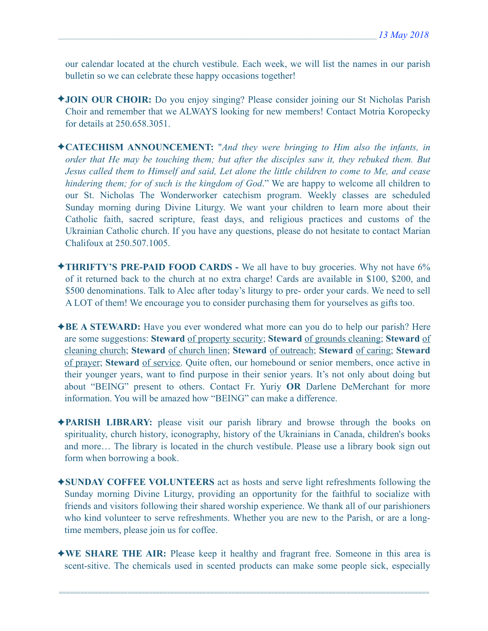our calendar located at the church vestibule. Each week, we will list the names in our parish bulletin so we can celebrate these happy occasions together!

- ✦**JOIN OUR CHOIR:** Do you enjoy singing? Please consider joining our St Nicholas Parish Choir and remember that we ALWAYS looking for new members! Contact Motria Koropecky for details at 250.658.3051.
- ✦**CATECHISM ANNOUNCEMENT:** "*And they were bringing to Him also the infants, in order that He may be touching them; but after the disciples saw it, they rebuked them. But Jesus called them to Himself and said, Let alone the little children to come to Me, and cease hindering them; for of such is the kingdom of God*." We are happy to welcome all children to our St. Nicholas The Wonderworker catechism program. Weekly classes are scheduled Sunday morning during Divine Liturgy. We want your children to learn more about their Catholic faith, sacred scripture, feast days, and religious practices and customs of the Ukrainian Catholic church. If you have any questions, please do not hesitate to contact Marian Chalifoux at 250.507.1005.
- ✦**THRIFTY'S PRE-PAID FOOD CARDS** We all have to buy groceries. Why not have 6% of it returned back to the church at no extra charge! Cards are available in \$100, \$200, and \$500 denominations. Talk to Alec after today's liturgy to pre- order your cards. We need to sell A LOT of them! We encourage you to consider purchasing them for yourselves as gifts too.
- ✦**BE A STEWARD:** Have you ever wondered what more can you do to help our parish? Here are some suggestions: **Steward** of property security; **Steward** of grounds cleaning; **Steward** of cleaning church; **Steward** of church linen; **Steward** of outreach; **Steward** of caring; **Steward** of prayer; **Steward** of service. Quite often, our homebound or senior members, once active in their younger years, want to find purpose in their senior years. It's not only about doing but about "BEING" present to others. Contact Fr. Yuriy **OR** Darlene DeMerchant for more information. You will be amazed how "BEING" can make a difference.
- ✦**PARISH LIBRARY:** please visit our parish library and browse through the books on spirituality, church history, iconography, history of the Ukrainians in Canada, children's books and more… The library is located in the church vestibule. Please use a library book sign out form when borrowing a book.
- ✦**SUNDAY COFFEE VOLUNTEERS** act as hosts and serve light refreshments following the Sunday morning Divine Liturgy, providing an opportunity for the faithful to socialize with friends and visitors following their shared worship experience. We thank all of our parishioners who kind volunteer to serve refreshments. Whether you are new to the Parish, or are a longtime members, please join us for coffee.
- ✦**WE SHARE THE AIR:** Please keep it healthy and fragrant free. Someone in this area is scent-sitive. The chemicals used in scented products can make some people sick, especially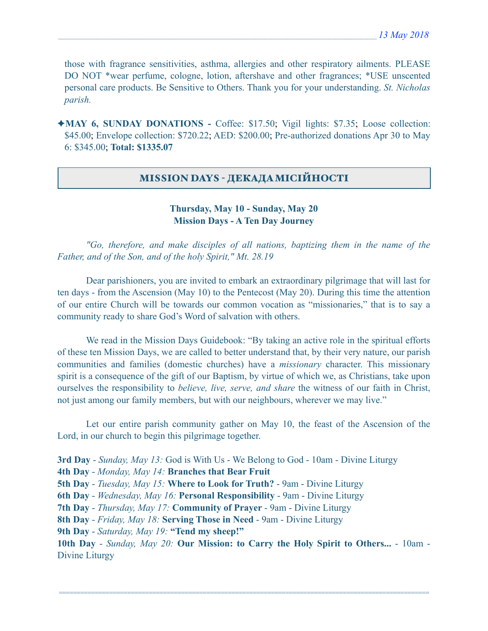those with fragrance sensitivities, asthma, allergies and other respiratory ailments. PLEASE DO NOT \*wear perfume, cologne, lotion, aftershave and other fragrances; \*USE unscented personal care products. Be Sensitive to Others. Thank you for your understanding. *St. Nicholas parish.* 

✦**MAY 6, SUNDAY DONATIONS -** Coffee: \$17.50; Vigil lights: \$7.35; Loose collection: \$45.00; Envelope collection: \$720.22; AED: \$200.00; Pre-authorized donations Apr 30 to May 6: \$345.00; **Total: \$1335.07**

## MISSION DAYS - ДЕКАДАМІСІЙНОСТІ

### **Thursday, May 10 - Sunday, May 20 Mission Days - A Ten Day Journey**

 *"Go, therefore, and make disciples of all nations, baptizing them in the name of the Father, and of the Son, and of the holy Spirit," Mt. 28.19* 

 Dear parishioners, you are invited to embark an extraordinary pilgrimage that will last for ten days - from the Ascension (May 10) to the Pentecost (May 20). During this time the attention of our entire Church will be towards our common vocation as "missionaries," that is to say a community ready to share God's Word of salvation with others.

 We read in the Mission Days Guidebook: "By taking an active role in the spiritual efforts of these ten Mission Days, we are called to better understand that, by their very nature, our parish communities and families (domestic churches) have a *missionary* character. This missionary spirit is a consequence of the gift of our Baptism, by virtue of which we, as Christians, take upon ourselves the responsibility to *believe, live, serve, and share* the witness of our faith in Christ, not just among our family members, but with our neighbours, wherever we may live."

 Let our entire parish community gather on May 10, the feast of the Ascension of the Lord, in our church to begin this pilgrimage together.

**3rd Day** - *Sunday, May 13:* God is With Us - We Belong to God - 10am - Divine Liturgy **4th Day** - *Monday, May 14:* **Branches that Bear Fruit**

**5th Day** - *Tuesday, May 15:* **Where to Look for Truth?** - 9am - Divine Liturgy

**6th Day** - *Wednesday, May 16:* **Personal Responsibility** - 9am - Divine Liturgy

**7th Day** - *Thursday, May 17:* **Community of Prayer** - 9am - Divine Liturgy

**8th Day** - *Friday, May 18:* **Serving Those in Need** - 9am - Divine Liturgy

**9th Day** - *Saturday, May 19:* **"Tend my sheep!"**

**10th Day** - *Sunday, May 20:* **Our Mission: to Carry the Holy Spirit to Others...** - 10am - Divine Liturgy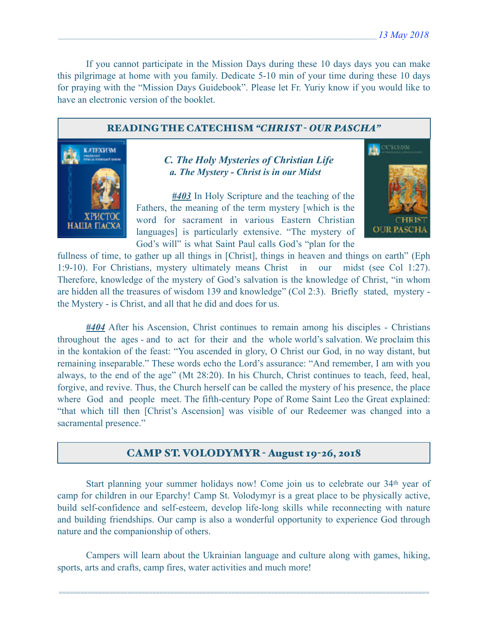If you cannot participate in the Mission Days during these 10 days days you can make this pilgrimage at home with you family. Dedicate 5-10 min of your time during these 10 days for praying with the "Mission Days Guidebook". Please let Fr. Yuriy know if you would like to have an electronic version of the booklet.

#### READING THE CATECHISM *"CHRIST - OUR PASCHA"*



## *C. The Holy Mysteries of Christian Life a. The Mystery - Christ is in our Midst*

 *#403* In Holy Scripture and the teaching of the Fathers, the meaning of the term mystery [which is the word for sacrament in various Eastern Christian languages] is particularly extensive. "The mystery of God's will" is what Saint Paul calls God's "plan for the



fullness of time, to gather up all things in [Christ], things in heaven and things on earth" (Eph 1:9-10). For Christians, mystery ultimately means Christ in our midst (see Col 1:27). Therefore, knowledge of the mystery of God's salvation is the knowledge of Christ, "in whom are hidden all the treasures of wisdom 139 and knowledge" (Col 2:3). Briefly stated, mystery the Mystery - is Christ, and all that he did and does for us.

*#404* After his Ascension, Christ continues to remain among his disciples - Christians throughout the ages - and to act for their and the whole world's salvation. We proclaim this in the kontakion of the feast: "You ascended in glory, O Christ our God, in no way distant, but remaining inseparable." These words echo the Lord's assurance: "And remember, I am with you always, to the end of the age" (Mt 28:20). In his Church, Christ continues to teach, feed, heal, forgive, and revive. Thus, the Church herself can be called the mystery of his presence, the place where God and people meet. The fifth-century Pope of Rome Saint Leo the Great explained: "that which till then [Christ's Ascension] was visible of our Redeemer was changed into a sacramental presence."

## CAMP ST. VOLODYMYR - August 19-26, 2018

 Start planning your summer holidays now! Come join us to celebrate our 34th year of camp for children in our Eparchy! Camp St. Volodymyr is a great place to be physically active, build self-confidence and self-esteem, develop life-long skills while reconnecting with nature and building friendships. Our camp is also a wonderful opportunity to experience God through nature and the companionship of others.

 Campers will learn about the Ukrainian language and culture along with games, hiking, sports, arts and crafts, camp fires, water activities and much more!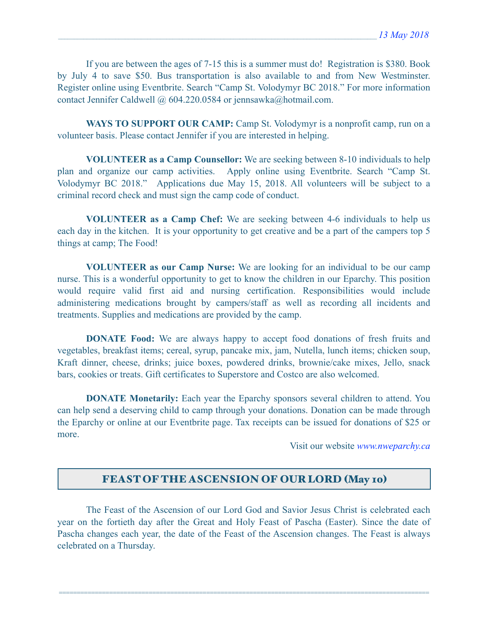If you are between the ages of 7-15 this is a summer must do! Registration is \$380. Book by July 4 to save \$50. Bus transportation is also available to and from New Westminster. Register online using Eventbrite. Search "Camp St. Volodymyr BC 2018." For more information contact Jennifer Caldwell @ 604.220.0584 or [jennsawka@hotmail.com.](mailto:jennsawka@hotmail.com)

**WAYS TO SUPPORT OUR CAMP:** Camp St. Volodymyr is a nonprofit camp, run on a volunteer basis. Please contact Jennifer if you are interested in helping.

**VOLUNTEER as a Camp Counsellor:** We are seeking between 8-10 individuals to help plan and organize our camp activities. Apply online using Eventbrite. Search "Camp St. Volodymyr BC 2018." Applications due May 15, 2018. All volunteers will be subject to a criminal record check and must sign the camp code of conduct.

**VOLUNTEER as a Camp Chef:** We are seeking between 4-6 individuals to help us each day in the kitchen. It is your opportunity to get creative and be a part of the campers top 5 things at camp; The Food!

**VOLUNTEER as our Camp Nurse:** We are looking for an individual to be our camp nurse. This is a wonderful opportunity to get to know the children in our Eparchy. This position would require valid first aid and nursing certification. Responsibilities would include administering medications brought by campers/staff as well as recording all incidents and treatments. Supplies and medications are provided by the camp.

**DONATE Food:** We are always happy to accept food donations of fresh fruits and vegetables, breakfast items; cereal, syrup, pancake mix, jam, Nutella, lunch items; chicken soup, Kraft dinner, cheese, drinks; juice boxes, powdered drinks, brownie/cake mixes, Jello, snack bars, cookies or treats. Gift certificates to Superstore and Costco are also welcomed.

 **DONATE Monetarily:** Each year the Eparchy sponsors several children to attend. You can help send a deserving child to camp through your donations. Donation can be made through the Eparchy or online at our Eventbrite page. Tax receipts can be issued for donations of \$25 or more.

Visit our website *[www.nweparchy.ca](http://www.nweparchy.ca)*

## FEAST OF THE ASCENSION OF OUR LORD (May 10)

 The Feast of the Ascension of our Lord God and Savior Jesus Christ is celebrated each year on the fortieth day after the Great and Holy Feast of Pascha (Easter). Since the date of Pascha changes each year, the date of the Feast of the Ascension changes. The Feast is always celebrated on a Thursday.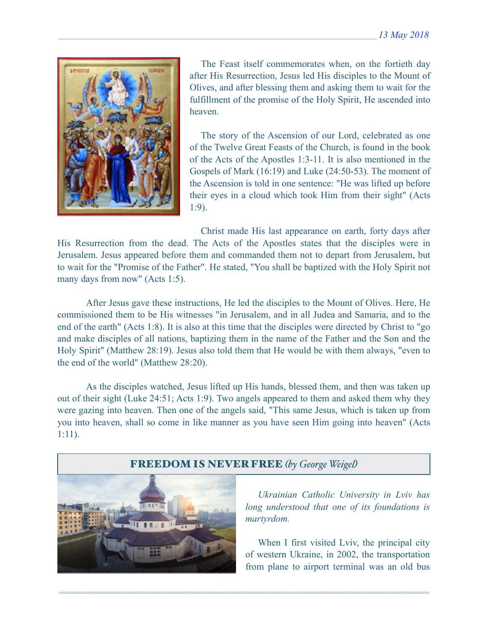

 The Feast itself commemorates when, on the fortieth day after His Resurrection, Jesus led His disciples to the Mount of Olives, and after blessing them and asking them to wait for the fulfillment of the promise of the Holy Spirit, He ascended into heaven.

 The story of the Ascension of our Lord, celebrated as one of the Twelve Great Feasts of the Church, is found in the book of the Acts of the Apostles 1:3-11. It is also mentioned in the Gospels of Mark (16:19) and Luke (24:50-53). The moment of the Ascension is told in one sentence: "He was lifted up before their eyes in a cloud which took Him from their sight" (Acts 1:9).

 Christ made His last appearance on earth, forty days after His Resurrection from the dead. The Acts of the Apostles states that the disciples were in Jerusalem. Jesus appeared before them and commanded them not to depart from Jerusalem, but to wait for the "Promise of the Father". He stated, "You shall be baptized with the Holy Spirit not many days from now" (Acts 1:5).

 After Jesus gave these instructions, He led the disciples to the Mount of Olives. Here, He commissioned them to be His witnesses "in Jerusalem, and in all Judea and Samaria, and to the end of the earth" (Acts 1:8). It is also at this time that the disciples were directed by Christ to "go and make disciples of all nations, baptizing them in the name of the Father and the Son and the Holy Spirit" (Matthew 28:19). Jesus also told them that He would be with them always, "even to the end of the world" (Matthew 28:20).

 As the disciples watched, Jesus lifted up His hands, blessed them, and then was taken up out of their sight (Luke 24:51; Acts 1:9). Two angels appeared to them and asked them why they were gazing into heaven. Then one of the angels said, "This same Jesus, which is taken up from you into heaven, shall so come in like manner as you have seen Him going into heaven" (Acts 1:11).



=======================================================================================================

 *Ukrainian Catholic University in Lviv has long understood that one of its foundations is martyrdom.* 

When I first visited Lviv, the principal city of western Ukraine, in 2002, the transportation from plane to airport terminal was an old bus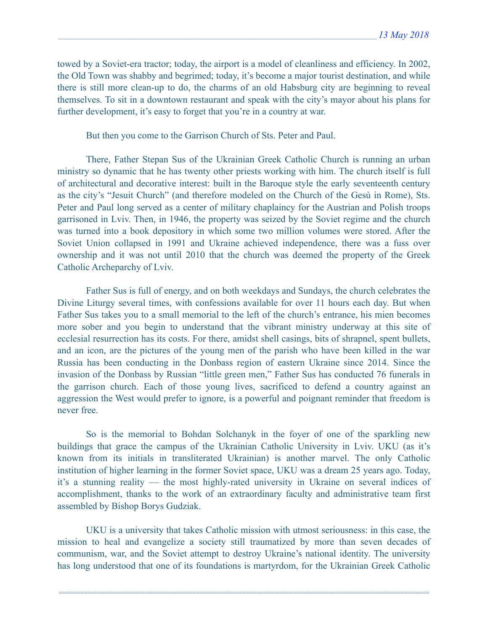towed by a Soviet-era tractor; today, the airport is a model of cleanliness and efficiency. In 2002, the Old Town was shabby and begrimed; today, it's become a major tourist destination, and while there is still more clean-up to do, the charms of an old Habsburg city are beginning to reveal themselves. To sit in a downtown restaurant and speak with the city's mayor about his plans for further development, it's easy to forget that you're in a country at war.

But then you come to the Garrison Church of Sts. Peter and Paul.

 There, Father Stepan Sus of the Ukrainian Greek Catholic Church is running an urban ministry so dynamic that he has twenty other priests working with him. The church itself is full of architectural and decorative interest: built in the Baroque style the early seventeenth century as the city's "Jesuit Church" (and therefore modeled on the Church of the Gesù in Rome), Sts. Peter and Paul long served as a center of military chaplaincy for the Austrian and Polish troops garrisoned in Lviv. Then, in 1946, the property was seized by the Soviet regime and the church was turned into a book depository in which some two million volumes were stored. After the Soviet Union collapsed in 1991 and Ukraine achieved independence, there was a fuss over ownership and it was not until 2010 that the church was deemed the property of the Greek Catholic Archeparchy of Lviv.

 Father Sus is full of energy, and on both weekdays and Sundays, the church celebrates the Divine Liturgy several times, with confessions available for over 11 hours each day. But when Father Sus takes you to a small memorial to the left of the church's entrance, his mien becomes more sober and you begin to understand that the vibrant ministry underway at this site of ecclesial resurrection has its costs. For there, amidst shell casings, bits of shrapnel, spent bullets, and an icon, are the pictures of the young men of the parish who have been killed in the war Russia has been conducting in the Donbass region of eastern Ukraine since 2014. Since the invasion of the Donbass by Russian "little green men," Father Sus has conducted 76 funerals in the garrison church. Each of those young lives, sacrificed to defend a country against an aggression the West would prefer to ignore, is a powerful and poignant reminder that freedom is never free.

 So is the memorial to Bohdan Solchanyk in the foyer of one of the sparkling new buildings that grace the campus of the Ukrainian Catholic University in Lviv. UKU (as it's known from its initials in transliterated Ukrainian) is another marvel. The only Catholic institution of higher learning in the former Soviet space, UKU was a dream 25 years ago. Today, it's a stunning reality — the most highly-rated university in Ukraine on several indices of accomplishment, thanks to the work of an extraordinary faculty and administrative team first assembled by Bishop Borys Gudziak.

 UKU is a university that takes Catholic mission with utmost seriousness: in this case, the mission to heal and evangelize a society still traumatized by more than seven decades of communism, war, and the Soviet attempt to destroy Ukraine's national identity. The university has long understood that one of its foundations is martyrdom, for the Ukrainian Greek Catholic